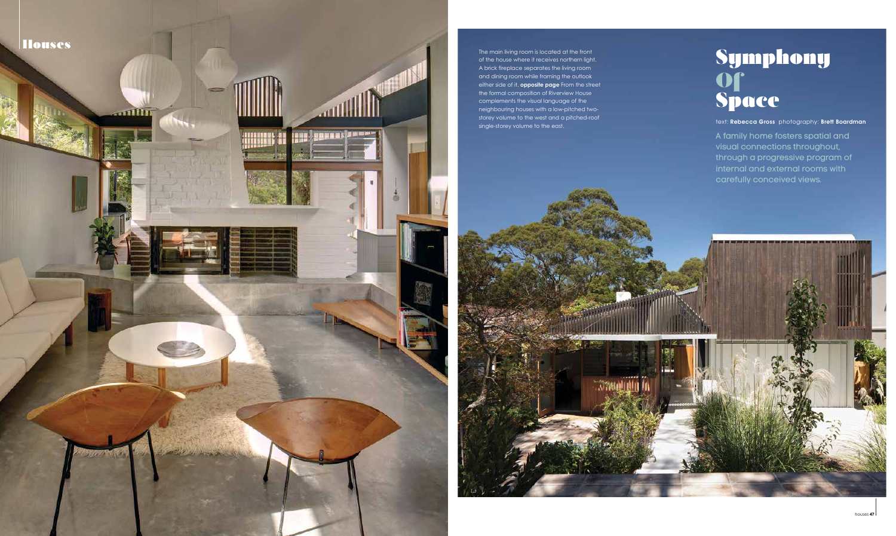The main living room is located at the front of the house where it receives northern light. A brick fireplace separates the living room and dining room while framing the outlook either side of it. **opposite page** From the street the formal composition of Riverview House complements the visual language of the neighbouring houses with a low-pitched twostorey volume to the west and a pitched-roof single-storey volume to the east.



A family home fosters spatial and visual connections throughout, through a progressive program of internal and external rooms with carefully conceived views.

text: Rebecca Gross photography: Brett Boardman

# Symphony Of Space

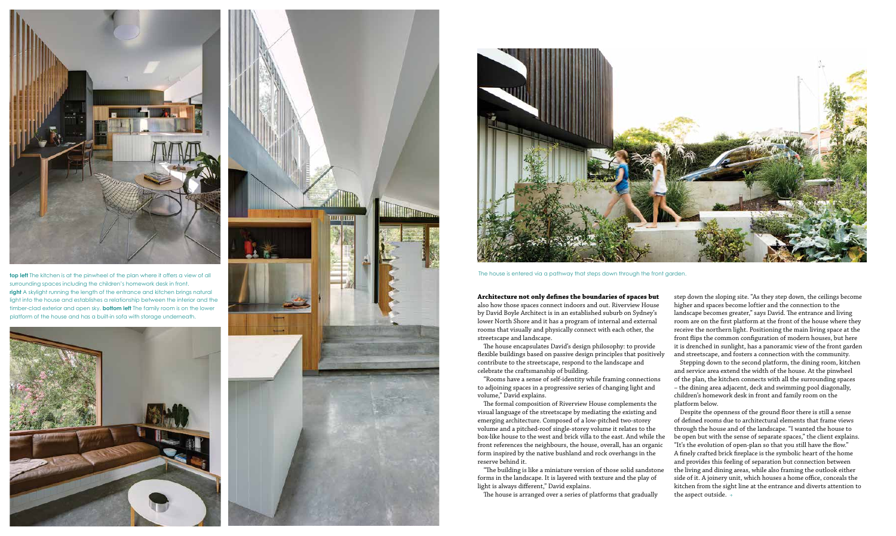### **Architecture not only defines the boundaries of spaces but**

also how those spaces connect indoors and out. Riverview House by David Boyle Architect is in an established suburb on Sydney's lower North Shore and it has a program of internal and external rooms that visually and physically connect with each other, the streetscape and landscape.

The house encapsulates David's design philosophy: to provide flexible buildings based on passive design principles that positively contribute to the streetscape, respond to the landscape and celebrate the craftsmanship of building.

"Rooms have a sense of self-identity while framing connections to adjoining spaces in a progressive series of changing light and volume," David explains.

The formal composition of Riverview House complements the visual language of the streetscape by mediating the existing and emerging architecture. Composed of a low-pitched two-storey volume and a pitched-roof single-storey volume it relates to the box-like house to the west and brick villa to the east. And while the front references the neighbours, the house, overall, has an organic form inspired by the native bushland and rock overhangs in the reserve behind it.

"The building is like a miniature version of those solid sandstone forms in the landscape. It is layered with texture and the play of light is always different," David explains.

The house is arranged over a series of platforms that gradually

step down the sloping site. "As they step down, the ceilings become higher and spaces become loftier and the connection to the landscape becomes greater," says David. The entrance and living room are on the first platform at the front of the house where they receive the northern light. Positioning the main living space at the front flips the common configuration of modern houses, but here it is drenched in sunlight, has a panoramic view of the front garden and streetscape, and fosters a connection with the community.

Stepping down to the second platform, the dining room, kitchen and service area extend the width of the house. At the pinwheel of the plan, the kitchen connects with all the surrounding spaces – the dining area adjacent, deck and swimming pool diagonally, children's homework desk in front and family room on the platform below.

Despite the openness of the ground floor there is still a sense of defined rooms due to architectural elements that frame views through the house and of the landscape. "I wanted the house to be open but with the sense of separate spaces," the client explains. "It's the evolution of open-plan so that you still have the flow." A finely crafted brick fireplace is the symbolic heart of the home and provides this feeling of separation but connection between the living and dining areas, while also framing the outlook either side of it. A joinery unit, which houses a home office, conceals the kitchen from the sight line at the entrance and diverts attention to the aspect outside. >



**top left** The kitchen is at the pinwheel of the plan where it offers a view of all surrounding spaces including the children's homework desk in front. **right** A skylight running the length of the entrance and kitchen brings natural light into the house and establishes a relationship between the interior and the timber-clad exterior and open sky. **bottom left** The family room is on the lower platform of the house and has a built-in sofa with storage underneath.







The house is entered via a pathway that steps down through the front garden.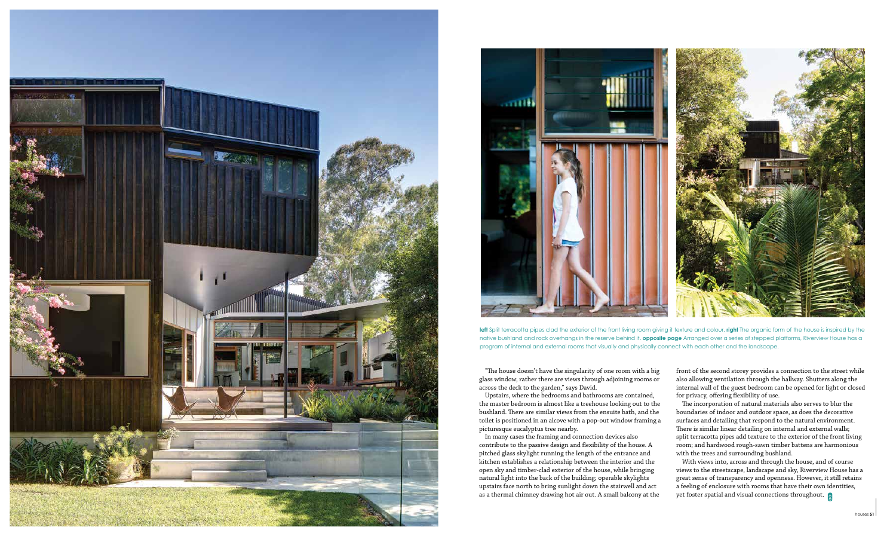"The house doesn't have the singularity of one room with a big glass window, rather there are views through adjoining rooms or across the deck to the garden," says David.

Upstairs, where the bedrooms and bathrooms are contained, the master bedroom is almost like a treehouse looking out to the bushland. There are similar views from the ensuite bath, and the toilet is positioned in an alcove with a pop-out window framing a picturesque eucalyptus tree nearby.

In many cases the framing and connection devices also contribute to the passive design and flexibility of the house. A pitched glass skylight running the length of the entrance and kitchen establishes a relationship between the interior and the open sky and timber-clad exterior of the house, while bringing natural light into the back of the building; operable skylights upstairs face north to bring sunlight down the stairwell and act as a thermal chimney drawing hot air out. A small balcony at the

With views into, across and through the house, and of course views to the streetscape, landscape and sky, Riverview House has a great sense of transparency and openness. However, it still retains a feeling of enclosure with rooms that have their own identities, yet foster spatial and visual connections throughout.

front of the second storey provides a connection to the street while also allowing ventilation through the hallway. Shutters along the internal wall of the guest bedroom can be opened for light or closed for privacy, offering flexibility of use.





left Split terracotta pipes clad the exterior of the front living room giving it texture and colour. **right** The organic form of the house is inspired by the native bushland and rock overhangs in the reserve behind it. **opposite page** Arranged over a series of stepped platforms, Riverview House has a program of internal and external rooms that visually and physically connect with each other and the landscape.

The incorporation of natural materials also serves to blur the boundaries of indoor and outdoor space, as does the decorative surfaces and detailing that respond to the natural environment. There is similar linear detailing on internal and external walls; split terracotta pipes add texture to the exterior of the front living room; and hardwood rough-sawn timber battens are harmonious with the trees and surrounding bushland.